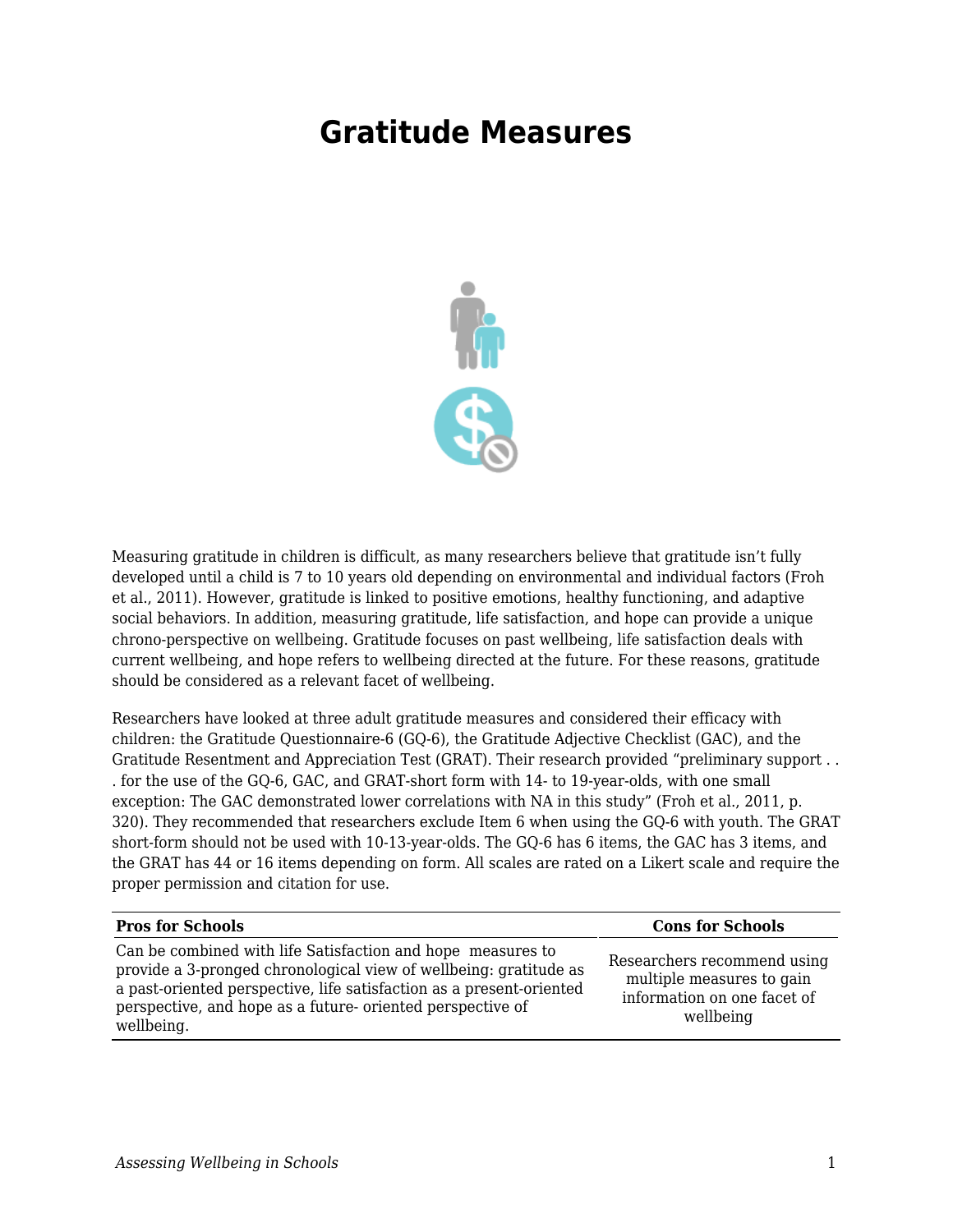## **Gratitude Measures**



Measuring gratitude in children is difficult, as many researchers believe that gratitude isn't fully developed until a child is 7 to 10 years old depending on environmental and individual factors (Froh et al., 2011). However, gratitude is linked to positive emotions, healthy functioning, and adaptive social behaviors. In addition, measuring gratitude, life satisfaction, and hope can provide a unique chrono-perspective on wellbeing. Gratitude focuses on past wellbeing, life satisfaction deals with current wellbeing, and hope refers to wellbeing directed at the future. For these reasons, gratitude should be considered as a relevant facet of wellbeing.

Researchers have looked at three adult gratitude measures and considered their efficacy with children: the Gratitude Questionnaire-6 (GQ-6), the Gratitude Adjective Checklist (GAC), and the Gratitude Resentment and Appreciation Test (GRAT). Their research provided "preliminary support . . . for the use of the GQ-6, GAC, and GRAT-short form with 14- to 19-year-olds, with one small exception: The GAC demonstrated lower correlations with NA in this study" (Froh et al., 2011, p. 320). They recommended that researchers exclude Item 6 when using the GQ-6 with youth. The GRAT short-form should not be used with 10-13-year-olds. The GQ-6 has 6 items, the GAC has 3 items, and the GRAT has 44 or 16 items depending on form. All scales are rated on a Likert scale and require the proper permission and citation for use.

| <b>Pros for Schools</b>                                                                                                                                                                                                                                                              | <b>Cons for Schools</b>                                                                              |
|--------------------------------------------------------------------------------------------------------------------------------------------------------------------------------------------------------------------------------------------------------------------------------------|------------------------------------------------------------------------------------------------------|
| Can be combined with life Satisfaction and hope measures to<br>provide a 3-pronged chronological view of wellbeing: gratitude as<br>a past-oriented perspective, life satisfaction as a present-oriented<br>perspective, and hope as a future- oriented perspective of<br>wellbeing. | Researchers recommend using<br>multiple measures to gain<br>information on one facet of<br>wellbeing |